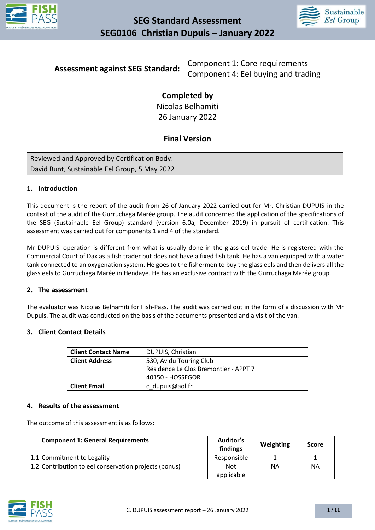



**Assessment against SEG Standard:** Component 1: Core requirements Component 4: Eel buying and trading

> **Completed by**  Nicolas Belhamiti 26 January 2022

## **Final Version**

| Reviewed and Approved by Certification Body:  |  |
|-----------------------------------------------|--|
| David Bunt, Sustainable Eel Group, 5 May 2022 |  |

#### **1. Introduction**

This document is the report of the audit from 26 of January 2022 carried out for Mr. Christian DUPUIS in the context of the audit of the Gurruchaga Marée group. The audit concerned the application of the specifications of the SEG (Sustainable Eel Group) standard (version 6.0a, December 2019) in pursuit of certification. This assessment was carried out for components 1 and 4 of the standard.

Mr DUPUIS' operation is different from what is usually done in the glass eel trade. He is registered with the Commercial Court of Dax as a fish trader but does not have a fixed fish tank. He has a van equipped with a water tank connected to an oxygenation system. He goes to the fishermen to buy the glass eels and then delivers all the glass eels to Gurruchaga Marée in Hendaye. He has an exclusive contract with the Gurruchaga Marée group.

#### **2. The assessment**

The evaluator was Nicolas Belhamiti for Fish-Pass. The audit was carried out in the form of a discussion with Mr Dupuis. The audit was conducted on the basis of the documents presented and a visit of the van.

#### **3. Client Contact Details**

| <b>Client Contact Name</b>                       | DUPUIS, Christian                     |
|--------------------------------------------------|---------------------------------------|
| <b>Client Address</b><br>530, Av du Touring Club |                                       |
|                                                  | Résidence Le Clos Bremontier - APPT 7 |
|                                                  | 40150 - HOSSEGOR                      |
| <b>Client Email</b>                              | c dupuis@aol.fr                       |

#### **4. Results of the assessment**

The outcome of this assessment is as follows:

| <b>Component 1: General Requirements</b>              | Auditor's<br>findings | Weighting | <b>Score</b> |
|-------------------------------------------------------|-----------------------|-----------|--------------|
| 1.1 Commitment to Legality                            | Responsible           |           |              |
| 1.2 Contribution to eel conservation projects (bonus) | <b>Not</b>            | NA        | NΑ           |
|                                                       | applicable            |           |              |

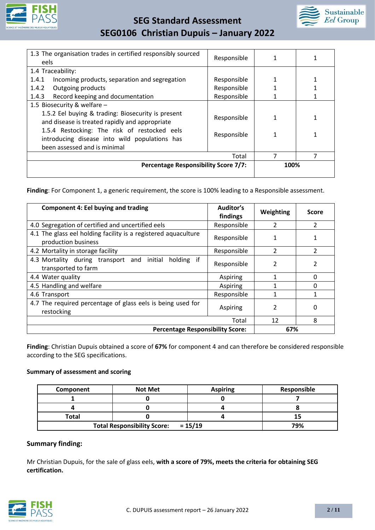



| 1.3 The organisation trades in certified responsibly sourced                                                        | Responsible |      |  |
|---------------------------------------------------------------------------------------------------------------------|-------------|------|--|
| eels                                                                                                                |             |      |  |
| 1.4 Traceability:                                                                                                   |             |      |  |
| Incoming products, separation and segregation<br>1.4.1                                                              | Responsible |      |  |
| 1.4.2<br>Outgoing products                                                                                          | Responsible |      |  |
| Record keeping and documentation<br>1.4.3                                                                           | Responsible |      |  |
| 1.5 Biosecurity & welfare -                                                                                         |             |      |  |
| 1.5.2 Eel buying & trading: Biosecurity is present<br>Responsible<br>and disease is treated rapidly and appropriate |             |      |  |
| 1.5.4 Restocking: The risk of restocked eels<br>Responsible<br>introducing disease into wild populations has        |             |      |  |
| been assessed and is minimal                                                                                        |             |      |  |
| 7<br>7<br>Total                                                                                                     |             |      |  |
| <b>Percentage Responsibility Score 7/7:</b>                                                                         |             | 100% |  |
|                                                                                                                     |             |      |  |

Finding: For Component 1, a generic requirement, the score is 100% leading to a Responsible assessment.

| <b>Component 4: Eel buying and trading</b>                                            | Auditor's<br>findings | Weighting                | <b>Score</b>   |
|---------------------------------------------------------------------------------------|-----------------------|--------------------------|----------------|
| 4.0 Segregation of certified and uncertified eels                                     | Responsible           | 2                        | $\overline{2}$ |
| 4.1 The glass eel holding facility is a registered aquaculture<br>production business | Responsible           |                          |                |
| 4.2 Mortality in storage facility                                                     | Responsible           | $\mathfrak{p}$           | $\mathcal{P}$  |
| 4.3 Mortality during transport and initial holding if<br>transported to farm          | Responsible           | 2                        | 2              |
| 4.4 Water quality                                                                     | Aspiring              | 1                        | $\Omega$       |
| 4.5 Handling and welfare                                                              | Aspiring              |                          | 0              |
| 4.6 Transport                                                                         | Responsible           |                          |                |
| 4.7 The required percentage of glass eels is being used for<br>restocking             | Aspiring              | $\overline{\phantom{a}}$ | 0              |
|                                                                                       | Total                 | 12                       | 8              |
| <b>Percentage Responsibility Score:</b>                                               |                       | 67%                      |                |

**Finding**: Christian Dupuis obtained a score of **67%** for component 4 and can therefore be considered responsible according to the SEG specifications.

#### **Summary of assessment and scoring**

| Component                           | <b>Not Met</b> | <b>Aspiring</b> | Responsible |
|-------------------------------------|----------------|-----------------|-------------|
|                                     |                |                 |             |
|                                     |                |                 |             |
| <b>Total</b>                        |                |                 |             |
| Total Responsibility Score: = 15/19 |                |                 | 79%         |

#### **Summary finding:**

Mr Christian Dupuis, for the sale of glass eels, **with a score of 79%, meets the criteria for obtaining SEG certification.** 

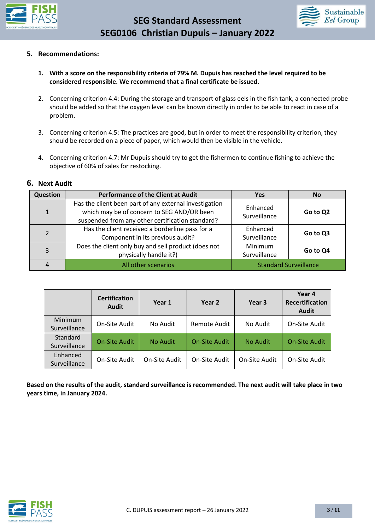



#### **5. Recommendations:**

- **1. With a score on the responsibility criteria of 79% M. Dupuis has reached the level required to be considered responsible. We recommend that a final certificate be issued.**
- 2. Concerning criterion 4.4: During the storage and transport of glass eels in the fish tank, a connected probe should be added so that the oxygen level can be known directly in order to be able to react in case of a problem.
- 3. Concerning criterion 4.5: The practices are good, but in order to meet the responsibility criterion, they should be recorded on a piece of paper, which would then be visible in the vehicle.
- 4. Concerning criterion 4.7: Mr Dupuis should try to get the fishermen to continue fishing to achieve the objective of 60% of sales for restocking.

#### **6. Next Audit**

| Question      | <b>Performance of the Client at Audit</b>                                                                                                                | <b>Yes</b>                     | <b>No</b> |
|---------------|----------------------------------------------------------------------------------------------------------------------------------------------------------|--------------------------------|-----------|
| $\mathbf{1}$  | Has the client been part of any external investigation<br>which may be of concern to SEG AND/OR been<br>suspended from any other certification standard? | Enhanced<br>Surveillance       | Go to Q2  |
| $\mathcal{P}$ | Has the client received a borderline pass for a<br>Component in its previous audit?                                                                      | Enhanced<br>Surveillance       | Go to Q3  |
| 3             | Does the client only buy and sell product (does not<br>physically handle it?)                                                                            | <b>Minimum</b><br>Surveillance | Go to Q4  |
|               | All other scenarios                                                                                                                                      | <b>Standard Surveillance</b>   |           |

|                          | <b>Certification</b><br><b>Audit</b> | Year 1        | Year 2               | Year 3          | Year 4<br><b>Recertification</b><br><b>Audit</b> |
|--------------------------|--------------------------------------|---------------|----------------------|-----------------|--------------------------------------------------|
| Minimum<br>Surveillance  | On-Site Audit                        | No Audit      | Remote Audit         | No Audit        | On-Site Audit                                    |
| Standard<br>Surveillance | <b>On-Site Audit</b>                 | No Audit      | <b>On-Site Audit</b> | <b>No Audit</b> | <b>On-Site Audit</b>                             |
| Enhanced<br>Surveillance | On-Site Audit                        | On-Site Audit | On-Site Audit        | On-Site Audit   | On-Site Audit                                    |

**Based on the results of the audit, standard surveillance is recommended. The next audit will take place in two years time, in January 2024.**

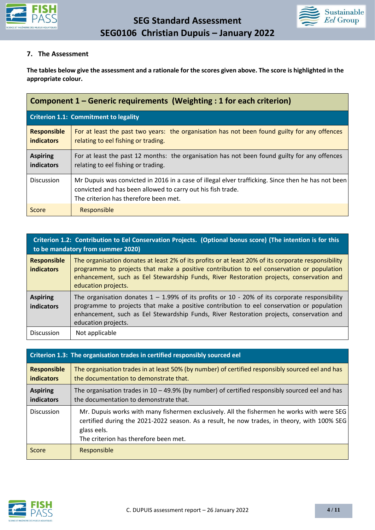



#### **7. The Assessment**

**The tables below give the assessment and a rationale for the scores given above. The score is highlighted in the appropriate colour.**

| Component 1 – Generic requirements (Weighting : 1 for each criterion) |                                                                                                                                                                                                            |  |
|-----------------------------------------------------------------------|------------------------------------------------------------------------------------------------------------------------------------------------------------------------------------------------------------|--|
|                                                                       | <b>Criterion 1.1: Commitment to legality</b>                                                                                                                                                               |  |
| <b>Responsible</b><br><b>indicators</b>                               | For at least the past two years: the organisation has not been found guilty for any offences<br>relating to eel fishing or trading.                                                                        |  |
| <b>Aspiring</b><br>indicators                                         | For at least the past 12 months: the organisation has not been found guilty for any offences<br>relating to eel fishing or trading.                                                                        |  |
| <b>Discussion</b>                                                     | Mr Dupuis was convicted in 2016 in a case of illegal elver trafficking. Since then he has not been<br>convicted and has been allowed to carry out his fish trade.<br>The criterion has therefore been met. |  |
| Score                                                                 | Responsible                                                                                                                                                                                                |  |

| Criterion 1.2: Contribution to Eel Conservation Projects. (Optional bonus score) (The intention is for this<br>to be mandatory from summer 2020) |                                                                                                                                                                                                                                                                                                                     |  |
|--------------------------------------------------------------------------------------------------------------------------------------------------|---------------------------------------------------------------------------------------------------------------------------------------------------------------------------------------------------------------------------------------------------------------------------------------------------------------------|--|
| <b>Responsible</b><br><b>indicators</b>                                                                                                          | The organisation donates at least 2% of its profits or at least 20% of its corporate responsibility<br>programme to projects that make a positive contribution to eel conservation or population<br>enhancement, such as Eel Stewardship Funds, River Restoration projects, conservation and<br>education projects. |  |
| <b>Aspiring</b><br><b>indicators</b>                                                                                                             | The organisation donates $1 - 1.99\%$ of its profits or 10 - 20% of its corporate responsibility<br>programme to projects that make a positive contribution to eel conservation or population<br>enhancement, such as Eel Stewardship Funds, River Restoration projects, conservation and<br>education projects.    |  |
| <b>Discussion</b>                                                                                                                                | Not applicable                                                                                                                                                                                                                                                                                                      |  |

|                                  | Criterion 1.3: The organisation trades in certified responsibly sourced eel                                                                                                                                                                       |  |  |
|----------------------------------|---------------------------------------------------------------------------------------------------------------------------------------------------------------------------------------------------------------------------------------------------|--|--|
| <b>Responsible</b><br>indicators | The organisation trades in at least 50% (by number) of certified responsibly sourced eel and has<br>the documentation to demonstrate that.                                                                                                        |  |  |
| <b>Aspiring</b><br>indicators    | The organisation trades in $10 - 49.9\%$ (by number) of certified responsibly sourced eel and has<br>the documentation to demonstrate that.                                                                                                       |  |  |
| <b>Discussion</b>                | Mr. Dupuis works with many fishermen exclusively. All the fishermen he works with were SEG<br>certified during the 2021-2022 season. As a result, he now trades, in theory, with 100% SEG<br>glass eels.<br>The criterion has therefore been met. |  |  |
| Score                            | Responsible                                                                                                                                                                                                                                       |  |  |

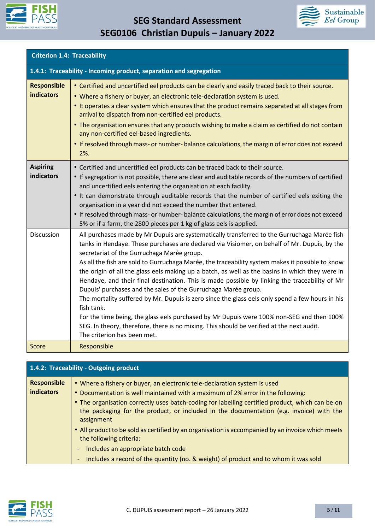



|                                         | <b>Criterion 1.4: Traceability</b>                                                                                                                                                                                                                                                                                                                                                                                                                                                                                                                                                                                                                                                                                                                                                                                                                                                                                                                           |  |  |
|-----------------------------------------|--------------------------------------------------------------------------------------------------------------------------------------------------------------------------------------------------------------------------------------------------------------------------------------------------------------------------------------------------------------------------------------------------------------------------------------------------------------------------------------------------------------------------------------------------------------------------------------------------------------------------------------------------------------------------------------------------------------------------------------------------------------------------------------------------------------------------------------------------------------------------------------------------------------------------------------------------------------|--|--|
|                                         | 1.4.1: Traceability - Incoming product, separation and segregation                                                                                                                                                                                                                                                                                                                                                                                                                                                                                                                                                                                                                                                                                                                                                                                                                                                                                           |  |  |
| <b>Responsible</b><br><b>indicators</b> | • Certified and uncertified eel products can be clearly and easily traced back to their source.<br>. Where a fishery or buyer, an electronic tele-declaration system is used.<br>• It operates a clear system which ensures that the product remains separated at all stages from<br>arrival to dispatch from non-certified eel products.<br>. The organisation ensures that any products wishing to make a claim as certified do not contain<br>any non-certified eel-based ingredients.<br>• If resolved through mass- or number-balance calculations, the margin of error does not exceed<br>2%.                                                                                                                                                                                                                                                                                                                                                          |  |  |
| <b>Aspiring</b><br>indicators           | • Certified and uncertified eel products can be traced back to their source.<br>• If segregation is not possible, there are clear and auditable records of the numbers of certified<br>and uncertified eels entering the organisation at each facility.<br>. It can demonstrate through auditable records that the number of certified eels exiting the<br>organisation in a year did not exceed the number that entered.<br>• If resolved through mass- or number-balance calculations, the margin of error does not exceed<br>5% or if a farm, the 2800 pieces per 1 kg of glass eels is applied.                                                                                                                                                                                                                                                                                                                                                          |  |  |
| Discussion                              | All purchases made by Mr Dupuis are systematically transferred to the Gurruchaga Marée fish<br>tanks in Hendaye. These purchases are declared via Visiomer, on behalf of Mr. Dupuis, by the<br>secretariat of the Gurruchaga Marée group.<br>As all the fish are sold to Gurruchaga Marée, the traceability system makes it possible to know<br>the origin of all the glass eels making up a batch, as well as the basins in which they were in<br>Hendaye, and their final destination. This is made possible by linking the traceability of Mr<br>Dupuis' purchases and the sales of the Gurruchaga Marée group.<br>The mortality suffered by Mr. Dupuis is zero since the glass eels only spend a few hours in his<br>fish tank.<br>For the time being, the glass eels purchased by Mr Dupuis were 100% non-SEG and then 100%<br>SEG. In theory, therefore, there is no mixing. This should be verified at the next audit.<br>The criterion has been met. |  |  |
| Score                                   | Responsible                                                                                                                                                                                                                                                                                                                                                                                                                                                                                                                                                                                                                                                                                                                                                                                                                                                                                                                                                  |  |  |

| 1.4.2: Traceability - Outgoing product  |                                                                                                                                                                                                                                                                                                                                                                                                                                                                                                                                                                                                                                       |  |
|-----------------------------------------|---------------------------------------------------------------------------------------------------------------------------------------------------------------------------------------------------------------------------------------------------------------------------------------------------------------------------------------------------------------------------------------------------------------------------------------------------------------------------------------------------------------------------------------------------------------------------------------------------------------------------------------|--|
| <b>Responsible</b><br><b>indicators</b> | • Where a fishery or buyer, an electronic tele-declaration system is used<br>• Documentation is well maintained with a maximum of 2% error in the following:<br>• The organisation correctly uses batch-coding for labelling certified product, which can be on<br>the packaging for the product, or included in the documentation (e.g. invoice) with the<br>assignment<br>• All product to be sold as certified by an organisation is accompanied by an invoice which meets<br>the following criteria:<br>Includes an appropriate batch code<br>Includes a record of the quantity (no. & weight) of product and to whom it was sold |  |

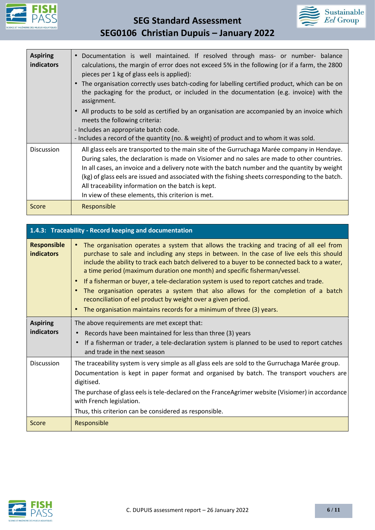



| <b>Aspiring</b><br>indicators | Documentation is well maintained. If resolved through mass- or number- balance<br>calculations, the margin of error does not exceed 5% in the following (or if a farm, the 2800<br>pieces per 1 kg of glass eels is applied):<br>The organisation correctly uses batch-coding for labelling certified product, which can be on<br>the packaging for the product, or included in the documentation (e.g. invoice) with the<br>assignment.<br>All products to be sold as certified by an organisation are accompanied by an invoice which<br>$\bullet$<br>meets the following criteria:<br>- Includes an appropriate batch code.<br>- Includes a record of the quantity (no. & weight) of product and to whom it was sold. |
|-------------------------------|--------------------------------------------------------------------------------------------------------------------------------------------------------------------------------------------------------------------------------------------------------------------------------------------------------------------------------------------------------------------------------------------------------------------------------------------------------------------------------------------------------------------------------------------------------------------------------------------------------------------------------------------------------------------------------------------------------------------------|
| Discussion                    | All glass eels are transported to the main site of the Gurruchaga Marée company in Hendaye.<br>During sales, the declaration is made on Visiomer and no sales are made to other countries.<br>In all cases, an invoice and a delivery note with the batch number and the quantity by weight<br>(kg) of glass eels are issued and associated with the fishing sheets corresponding to the batch.<br>All traceability information on the batch is kept.<br>In view of these elements, this criterion is met.                                                                                                                                                                                                               |
| Score                         | Responsible                                                                                                                                                                                                                                                                                                                                                                                                                                                                                                                                                                                                                                                                                                              |

| 1.4.3: Traceability - Record keeping and documentation |                                                                                                                                                                                                                                                                                                                                                                                                                                                                                                                                                                                                                                                                                                                                                |  |
|--------------------------------------------------------|------------------------------------------------------------------------------------------------------------------------------------------------------------------------------------------------------------------------------------------------------------------------------------------------------------------------------------------------------------------------------------------------------------------------------------------------------------------------------------------------------------------------------------------------------------------------------------------------------------------------------------------------------------------------------------------------------------------------------------------------|--|
| <b>Responsible</b><br><b>indicators</b>                | The organisation operates a system that allows the tracking and tracing of all eel from<br>$\bullet$<br>purchase to sale and including any steps in between. In the case of live eels this should<br>include the ability to track each batch delivered to a buyer to be connected back to a water,<br>a time period (maximum duration one month) and specific fisherman/vessel.<br>If a fisherman or buyer, a tele-declaration system is used to report catches and trade.<br>$\bullet$<br>The organisation operates a system that also allows for the completion of a batch<br>$\bullet$<br>reconciliation of eel product by weight over a given period.<br>The organisation maintains records for a minimum of three (3) years.<br>$\bullet$ |  |
| <b>Aspiring</b>                                        | The above requirements are met except that:                                                                                                                                                                                                                                                                                                                                                                                                                                                                                                                                                                                                                                                                                                    |  |
| indicators                                             | Records have been maintained for less than three (3) years<br>If a fisherman or trader, a tele-declaration system is planned to be used to report catches<br>and trade in the next season                                                                                                                                                                                                                                                                                                                                                                                                                                                                                                                                                      |  |
| <b>Discussion</b>                                      | The traceability system is very simple as all glass eels are sold to the Gurruchaga Marée group.<br>Documentation is kept in paper format and organised by batch. The transport vouchers are<br>digitised.<br>The purchase of glass eels is tele-declared on the FranceAgrimer website (Visiomer) in accordance<br>with French legislation.<br>Thus, this criterion can be considered as responsible.                                                                                                                                                                                                                                                                                                                                          |  |
| Score                                                  | Responsible                                                                                                                                                                                                                                                                                                                                                                                                                                                                                                                                                                                                                                                                                                                                    |  |

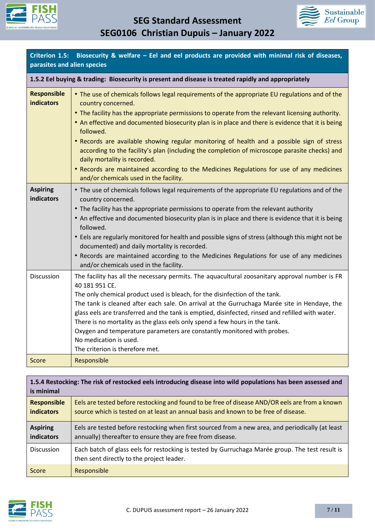



| Criterion 1.5: Biosecurity & welfare $-$ Eel and eel products are provided with minimal risk of diseases,<br>parasites and alien species |                                                                                                                                                                                                                                                                                                                                                                                                                                                                                                                                                                                                                                                                                                                 |  |  |
|------------------------------------------------------------------------------------------------------------------------------------------|-----------------------------------------------------------------------------------------------------------------------------------------------------------------------------------------------------------------------------------------------------------------------------------------------------------------------------------------------------------------------------------------------------------------------------------------------------------------------------------------------------------------------------------------------------------------------------------------------------------------------------------------------------------------------------------------------------------------|--|--|
|                                                                                                                                          | 1.5.2 Eel buying & trading: Biosecurity is present and disease is treated rapidly and appropriately                                                                                                                                                                                                                                                                                                                                                                                                                                                                                                                                                                                                             |  |  |
| <b>Responsible</b><br><b>indicators</b>                                                                                                  | • The use of chemicals follows legal requirements of the appropriate EU regulations and of the<br>country concerned.<br>• The facility has the appropriate permissions to operate from the relevant licensing authority.<br>• An effective and documented biosecurity plan is in place and there is evidence that it is being<br>followed.<br>. Records are available showing regular monitoring of health and a possible sign of stress<br>according to the facility's plan (including the completion of microscope parasite checks) and<br>daily mortality is recorded.<br>• Records are maintained according to the Medicines Regulations for use of any medicines<br>and/or chemicals used in the facility. |  |  |
| <b>Aspiring</b><br><b>indicators</b>                                                                                                     | • The use of chemicals follows legal requirements of the appropriate EU regulations and of the<br>country concerned.<br>• The facility has the appropriate permissions to operate from the relevant authority<br>• An effective and documented biosecurity plan is in place and there is evidence that it is being<br>followed.<br>• Eels are regularly monitored for health and possible signs of stress (although this might not be<br>documented) and daily mortality is recorded.<br>• Records are maintained according to the Medicines Regulations for use of any medicines<br>and/or chemicals used in the facility.                                                                                     |  |  |
| Discussion                                                                                                                               | The facility has all the necessary permits. The aquacultural zoosanitary approval number is FR<br>40 181 951 CE.<br>The only chemical product used is bleach, for the disinfection of the tank.<br>The tank is cleaned after each sale. On arrival at the Gurruchaga Marée site in Hendaye, the<br>glass eels are transferred and the tank is emptied, disinfected, rinsed and refilled with water.<br>There is no mortality as the glass eels only spend a few hours in the tank.<br>Oxygen and temperature parameters are constantly monitored with probes.<br>No medication is used.<br>The criterion is therefore met.                                                                                      |  |  |
| <b>Score</b>                                                                                                                             | Responsible                                                                                                                                                                                                                                                                                                                                                                                                                                                                                                                                                                                                                                                                                                     |  |  |

| 1.5.4 Restocking: The risk of restocked eels introducing disease into wild populations has been assessed and<br>is minimal |                                                                                                                                                                                       |  |
|----------------------------------------------------------------------------------------------------------------------------|---------------------------------------------------------------------------------------------------------------------------------------------------------------------------------------|--|
| <b>Responsible</b><br>indicators                                                                                           | Eels are tested before restocking and found to be free of disease AND/OR eels are from a known<br>source which is tested on at least an annual basis and known to be free of disease. |  |
| <b>Aspiring</b><br>indicators                                                                                              | Eels are tested before restocking when first sourced from a new area, and periodically (at least<br>annually) thereafter to ensure they are free from disease.                        |  |
| <b>Discussion</b>                                                                                                          | Each batch of glass eels for restocking is tested by Gurruchaga Marée group. The test result is<br>then sent directly to the project leader.                                          |  |
| Score                                                                                                                      | Responsible                                                                                                                                                                           |  |

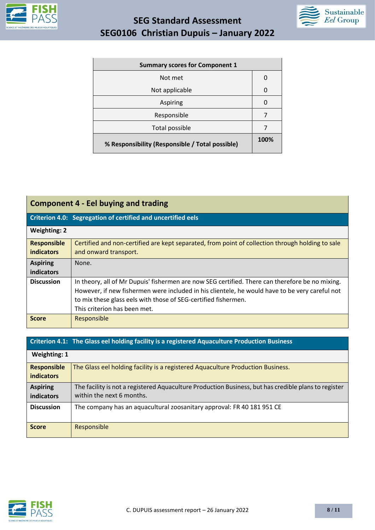



| <b>Summary scores for Component 1</b>           |      |
|-------------------------------------------------|------|
| Not met                                         | O    |
| Not applicable                                  | O    |
| Aspiring                                        | O    |
| Responsible                                     |      |
| Total possible                                  |      |
| % Responsibility (Responsible / Total possible) | 100% |

| <b>Component 4 - Eel buying and trading</b> |                                                                                                                                                                                                                                                                                                     |
|---------------------------------------------|-----------------------------------------------------------------------------------------------------------------------------------------------------------------------------------------------------------------------------------------------------------------------------------------------------|
|                                             | Criterion 4.0: Segregation of certified and uncertified eels                                                                                                                                                                                                                                        |
| <b>Weighting: 2</b>                         |                                                                                                                                                                                                                                                                                                     |
| <b>Responsible</b><br><b>indicators</b>     | Certified and non-certified are kept separated, from point of collection through holding to sale<br>and onward transport.                                                                                                                                                                           |
| <b>Aspiring</b><br>indicators               | None.                                                                                                                                                                                                                                                                                               |
| <b>Discussion</b>                           | In theory, all of Mr Dupuis' fishermen are now SEG certified. There can therefore be no mixing.<br>However, if new fishermen were included in his clientele, he would have to be very careful not<br>to mix these glass eels with those of SEG-certified fishermen.<br>This criterion has been met. |
| <b>Score</b>                                | Responsible                                                                                                                                                                                                                                                                                         |

|                                         | Criterion 4.1: The Glass eel holding facility is a registered Aquaculture Production Business                                     |
|-----------------------------------------|-----------------------------------------------------------------------------------------------------------------------------------|
| <b>Weighting: 1</b>                     |                                                                                                                                   |
| <b>Responsible</b><br><b>indicators</b> | The Glass eel holding facility is a registered Aquaculture Production Business.                                                   |
| <b>Aspiring</b><br>indicators           | The facility is not a registered Aquaculture Production Business, but has credible plans to register<br>within the next 6 months. |
| <b>Discussion</b>                       | The company has an aquacultural zoosanitary approval: FR 40 181 951 CE                                                            |
| <b>Score</b>                            | Responsible                                                                                                                       |

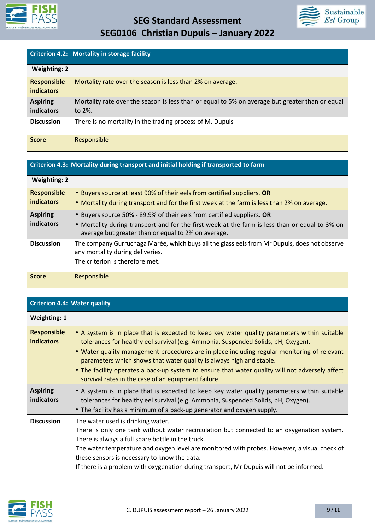

# **SEG Standard Assessment**



| SEG0106 Christian Dupuis - January 2022 |  |  |  |  |
|-----------------------------------------|--|--|--|--|
|-----------------------------------------|--|--|--|--|

|                     | Criterion 4.2: Mortality in storage facility                                                    |
|---------------------|-------------------------------------------------------------------------------------------------|
| <b>Weighting: 2</b> |                                                                                                 |
| <b>Responsible</b>  | Mortality rate over the season is less than 2% on average.                                      |
| <b>indicators</b>   |                                                                                                 |
| <b>Aspiring</b>     | Mortality rate over the season is less than or equal to 5% on average but greater than or equal |
| indicators          | to $2\%$ .                                                                                      |
| <b>Discussion</b>   | There is no mortality in the trading process of M. Dupuis                                       |
|                     |                                                                                                 |
| <b>Score</b>        | Responsible                                                                                     |

### **Criterion 4.3: Mortality during transport and initial holding if transported to farm**

| <b>Weighting: 2</b>                     |                                                                                                                                                                                                                                 |
|-----------------------------------------|---------------------------------------------------------------------------------------------------------------------------------------------------------------------------------------------------------------------------------|
| <b>Responsible</b><br><b>indicators</b> | • Buyers source at least 90% of their eels from certified suppliers. OR<br>• Mortality during transport and for the first week at the farm is less than 2% on average.                                                          |
| <b>Aspiring</b><br>indicators           | • Buyers source 50% - 89.9% of their eels from certified suppliers. OR<br>• Mortality during transport and for the first week at the farm is less than or equal to 3% on<br>average but greater than or equal to 2% on average. |
| <b>Discussion</b>                       | The company Gurruchaga Marée, which buys all the glass eels from Mr Dupuis, does not observe<br>any mortality during deliveries.<br>The criterion is therefore met.                                                             |
| <b>Score</b>                            | Responsible                                                                                                                                                                                                                     |

| <b>Criterion 4.4: Water quality</b>     |                                                                                                                                                                                                                                                                                                                                                                                                                                                                                                                    |
|-----------------------------------------|--------------------------------------------------------------------------------------------------------------------------------------------------------------------------------------------------------------------------------------------------------------------------------------------------------------------------------------------------------------------------------------------------------------------------------------------------------------------------------------------------------------------|
| <b>Weighting: 1</b>                     |                                                                                                                                                                                                                                                                                                                                                                                                                                                                                                                    |
| <b>Responsible</b><br><b>indicators</b> | • A system is in place that is expected to keep key water quality parameters within suitable<br>tolerances for healthy eel survival (e.g. Ammonia, Suspended Solids, pH, Oxygen).<br>. Water quality management procedures are in place including regular monitoring of relevant<br>parameters which shows that water quality is always high and stable.<br>• The facility operates a back-up system to ensure that water quality will not adversely affect<br>survival rates in the case of an equipment failure. |
| <b>Aspiring</b><br>indicators           | • A system is in place that is expected to keep key water quality parameters within suitable<br>tolerances for healthy eel survival (e.g. Ammonia, Suspended Solids, pH, Oxygen).<br>• The facility has a minimum of a back-up generator and oxygen supply.                                                                                                                                                                                                                                                        |
| <b>Discussion</b>                       | The water used is drinking water.<br>There is only one tank without water recirculation but connected to an oxygenation system.<br>There is always a full spare bottle in the truck.<br>The water temperature and oxygen level are monitored with probes. However, a visual check of<br>these sensors is necessary to know the data.<br>If there is a problem with oxygenation during transport, Mr Dupuis will not be informed.                                                                                   |

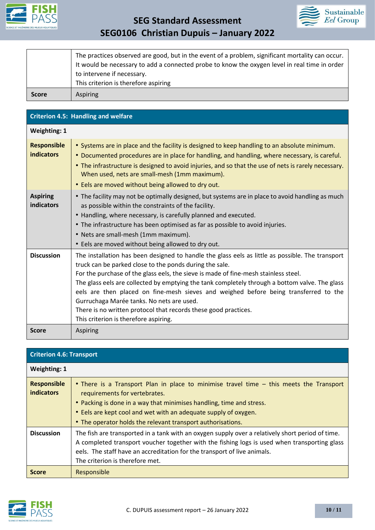



|              | It would be necessary to add a connected probe to know the oxygen level in real time in order<br>to intervene if necessary.<br>This criterion is therefore aspiring |
|--------------|---------------------------------------------------------------------------------------------------------------------------------------------------------------------|
| <b>Score</b> | <b>Aspiring</b>                                                                                                                                                     |

| <b>Criterion 4.5: Handling and welfare</b> |                                                                                                                                                                                                                                                                                                                                                                                                                                                                                                                                                                                                       |  |  |  |
|--------------------------------------------|-------------------------------------------------------------------------------------------------------------------------------------------------------------------------------------------------------------------------------------------------------------------------------------------------------------------------------------------------------------------------------------------------------------------------------------------------------------------------------------------------------------------------------------------------------------------------------------------------------|--|--|--|
| <b>Weighting: 1</b>                        |                                                                                                                                                                                                                                                                                                                                                                                                                                                                                                                                                                                                       |  |  |  |
| <b>Responsible</b><br><b>indicators</b>    | • Systems are in place and the facility is designed to keep handling to an absolute minimum.<br>• Documented procedures are in place for handling, and handling, where necessary, is careful.<br>• The infrastructure is designed to avoid injuries, and so that the use of nets is rarely necessary.<br>When used, nets are small-mesh (1mm maximum).<br>• Eels are moved without being allowed to dry out.                                                                                                                                                                                          |  |  |  |
| <b>Aspiring</b><br>indicators              | • The facility may not be optimally designed, but systems are in place to avoid handling as much<br>as possible within the constraints of the facility.<br>• Handling, where necessary, is carefully planned and executed.<br>• The infrastructure has been optimised as far as possible to avoid injuries.<br>• Nets are small-mesh (1mm maximum).<br>• Eels are moved without being allowed to dry out.                                                                                                                                                                                             |  |  |  |
| <b>Discussion</b>                          | The installation has been designed to handle the glass eels as little as possible. The transport<br>truck can be parked close to the ponds during the sale.<br>For the purchase of the glass eels, the sieve is made of fine-mesh stainless steel.<br>The glass eels are collected by emptying the tank completely through a bottom valve. The glass<br>eels are then placed on fine-mesh sieves and weighed before being transferred to the<br>Gurruchaga Marée tanks. No nets are used.<br>There is no written protocol that records these good practices.<br>This criterion is therefore aspiring. |  |  |  |
| <b>Score</b>                               | <b>Aspiring</b>                                                                                                                                                                                                                                                                                                                                                                                                                                                                                                                                                                                       |  |  |  |

| <b>Criterion 4.6: Transport</b>         |                                                                                                                                                                                                                                                                                                                                    |  |  |
|-----------------------------------------|------------------------------------------------------------------------------------------------------------------------------------------------------------------------------------------------------------------------------------------------------------------------------------------------------------------------------------|--|--|
| <b>Weighting: 1</b>                     |                                                                                                                                                                                                                                                                                                                                    |  |  |
| <b>Responsible</b><br><b>indicators</b> | • There is a Transport Plan in place to minimise travel time – this meets the Transport<br>requirements for vertebrates.<br>• Packing is done in a way that minimises handling, time and stress.<br>• Eels are kept cool and wet with an adequate supply of oxygen.<br>• The operator holds the relevant transport authorisations. |  |  |
| <b>Discussion</b>                       | The fish are transported in a tank with an oxygen supply over a relatively short period of time.<br>A completed transport voucher together with the fishing logs is used when transporting glass<br>eels. The staff have an accreditation for the transport of live animals.<br>The criterion is therefore met.                    |  |  |
| <b>Score</b>                            | Responsible                                                                                                                                                                                                                                                                                                                        |  |  |